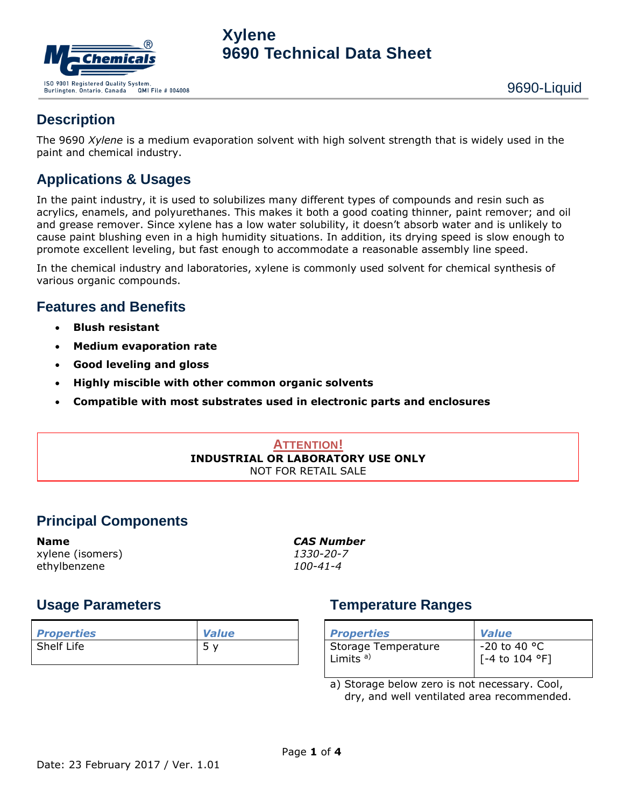

### **Description**

The 9690 *Xylene* is a medium evaporation solvent with high solvent strength that is widely used in the paint and chemical industry.

#### **Applications & Usages**

In the paint industry, it is used to solubilizes many different types of compounds and resin such as acrylics, enamels, and polyurethanes. This makes it both a good coating thinner, paint remover; and oil and grease remover. Since xylene has a low water solubility, it doesn't absorb water and is unlikely to cause paint blushing even in a high humidity situations. In addition, its drying speed is slow enough to promote excellent leveling, but fast enough to accommodate a reasonable assembly line speed.

In the chemical industry and laboratories, xylene is commonly used solvent for chemical synthesis of various organic compounds.

#### **Features and Benefits**

- **Blush resistant**
- **Medium evaporation rate**
- **Good leveling and gloss**
- **Highly miscible with other common organic solvents**
- **Compatible with most substrates used in electronic parts and enclosures**

#### **ATTENTION! INDUSTRIAL OR LABORATORY USE ONLY** NOT FOR RETAIL SALE

## **Principal Components**

xylene (isomers) *1330-20-7* ethylbenzene *100-41-4*

**Name** *CAS Number*

#### **Usage Parameters**

| <b>Properties</b> | <b>Value</b> |
|-------------------|--------------|
| Shelf Life        |              |

## **Temperature Ranges**

| <b>Properties</b>                             | <b>Value</b>                              |
|-----------------------------------------------|-------------------------------------------|
| Storage Temperature<br>l Limits <sup>a)</sup> | $\Big  $ -20 to 40 °C<br>[[-4 to 104 °F]] |

a) Storage below zero is not necessary. Cool, dry, and well ventilated area recommended.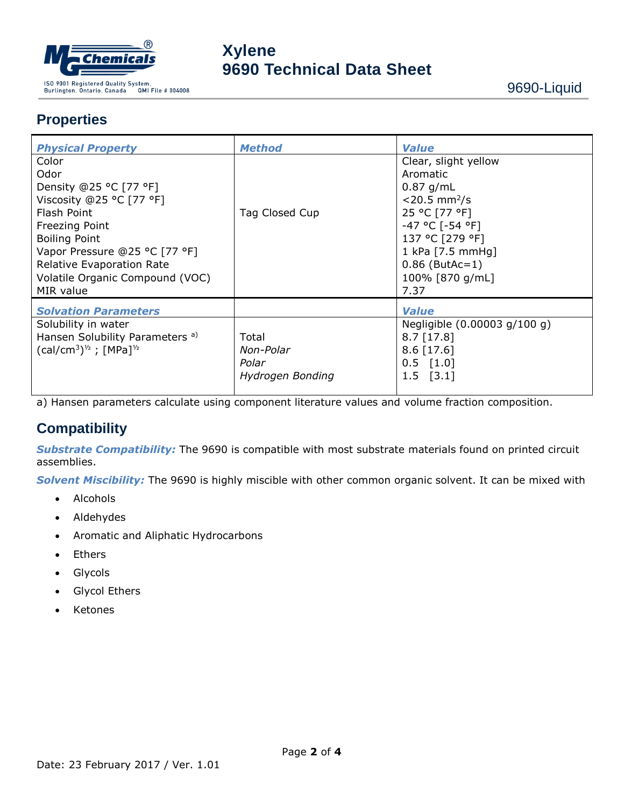

## **Properties**

| <b>Physical Property</b>                                                                                                                                                                                                                          | <b>Method</b>                                   | <b>Value</b>                                                                                                                                                                                             |  |  |
|---------------------------------------------------------------------------------------------------------------------------------------------------------------------------------------------------------------------------------------------------|-------------------------------------------------|----------------------------------------------------------------------------------------------------------------------------------------------------------------------------------------------------------|--|--|
| Color<br>Odor<br>Density @25 °C [77 °F]<br>Viscosity @25 °C [77 °F]<br>Flash Point<br><b>Freezing Point</b><br><b>Boiling Point</b><br>Vapor Pressure @25 °C [77 °F]<br>Relative Evaporation Rate<br>Volatile Organic Compound (VOC)<br>MIR value | Tag Closed Cup                                  | Clear, slight yellow<br>Aromatic<br>$0.87$ g/mL<br>$<$ 20.5 mm <sup>2</sup> /s<br>25 °C [77 °F]<br>-47 °C [-54 °F]<br>137 °C [279 °F]<br>1 kPa [7.5 mmHg]<br>$0.86$ (ButAc=1)<br>100% [870 g/mL]<br>7.37 |  |  |
| <b>Solvation Parameters</b>                                                                                                                                                                                                                       |                                                 | <b>Value</b>                                                                                                                                                                                             |  |  |
| Solubility in water<br>Hansen Solubility Parameters <sup>a)</sup><br>$(cal/cm3)1/2$ ; [MPa] <sup>1/2</sup>                                                                                                                                        | Total<br>Non-Polar<br>Polar<br>Hydrogen Bonding | Negligible (0.00003 g/100 g)<br>$8.7$ [17.8]<br>$8.6$ [17.6]<br>$0.5$ [1.0]<br>$1.5$ [3.1]                                                                                                               |  |  |

a) Hansen parameters calculate using component literature values and volume fraction composition.

#### **Compatibility**

*Substrate Compatibility:* The 9690 is compatible with most substrate materials found on printed circuit assemblies.

*Solvent Miscibility:* The 9690 is highly miscible with other common organic solvent. It can be mixed with

- Alcohols
- Aldehydes
- Aromatic and Aliphatic Hydrocarbons
- Ethers
- Glycols
- Glycol Ethers
- Ketones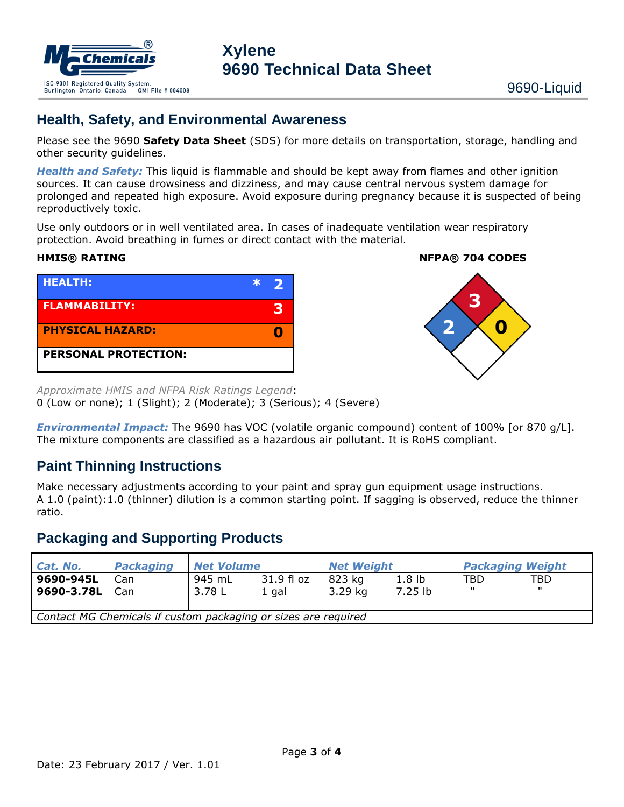

#### **Health, Safety, and Environmental Awareness**

Please see the 9690 **Safety Data Sheet** (SDS) for more details on transportation, storage, handling and other security guidelines.

*Health and Safety:* This liquid is flammable and should be kept away from flames and other ignition sources. It can cause drowsiness and dizziness, and may cause central nervous system damage for prolonged and repeated high exposure. Avoid exposure during pregnancy because it is suspected of being reproductively toxic.

Use only outdoors or in well ventilated area. In cases of inadequate ventilation wear respiratory protection. Avoid breathing in fumes or direct contact with the material.



**HMIS® RATING NFPA® 704 CODES**



*Approximate HMIS and NFPA Risk Ratings Legend*: 0 (Low or none); 1 (Slight); 2 (Moderate); 3 (Serious); 4 (Severe)

*Environmental Impact:* The 9690 has VOC (volatile organic compound) content of 100% [or 870 g/L]. The mixture components are classified as a hazardous air pollutant. It is RoHS compliant.

#### **Paint Thinning Instructions**

Make necessary adjustments according to your paint and spray gun equipment usage instructions. A 1.0 (paint):1.0 (thinner) dilution is a common starting point. If sagging is observed, reduce the thinner ratio.

#### **Packaging and Supporting Products**

| Cat. No.                                                       | <b>Packaging</b> | <b>Net Volume</b> |                       | <b>Net Weight</b> |                                | <b>Packaging Weight</b> |                      |  |
|----------------------------------------------------------------|------------------|-------------------|-----------------------|-------------------|--------------------------------|-------------------------|----------------------|--|
| 9690-945L<br>9690-3.78L                                        | Can<br>Can       | 945 mL<br>3.78 L  | 31.9 fl oz<br>$1$ gal | 823 kg<br>3.29 kg | 1.8 <sub>lb</sub><br>$7.25$ lb | <b>TBD</b><br>п.        | TBD.<br>$\mathbf{H}$ |  |
| Contact MG Chemicals if custom packaging or sizes are required |                  |                   |                       |                   |                                |                         |                      |  |